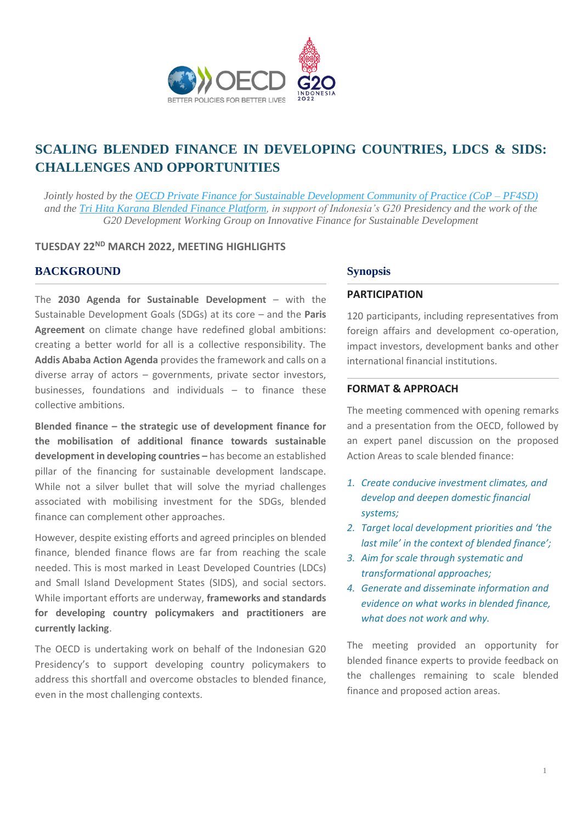

# **SCALING BLENDED FINANCE IN DEVELOPING COUNTRIES, LDCS & SIDS: CHALLENGES AND OPPORTUNITIES**

*Jointly hosted by the OECD Private Finance for Sustainable Development Community of Practice (CoP – PF4SD) and the Tri Hita Karana Blended Finance Platform, in support of Indonesia's G20 Presidency and the work of the G20 Development Working Group on Innovative Finance for Sustainable Development*

#### **TUESDAY 22ND MARCH 2022, MEETING HIGHLIGHTS**

#### **BACKGROUND Synopsis**

The **2030 Agenda for Sustainable Development** – with the Sustainable Development Goals (SDGs) at its core – and the **Paris Agreement** on climate change have redefined global ambitions: creating a better world for all is a collective responsibility. The **Addis Ababa Action Agenda** provides the framework and calls on a diverse array of actors – governments, private sector investors, businesses, foundations and individuals – to finance these collective ambitions.

**Blended finance – the strategic use of development finance for the mobilisation of additional finance towards sustainable development in developing countries –** has become an established pillar of the financing for sustainable development landscape. While not a silver bullet that will solve the myriad challenges associated with mobilising investment for the SDGs, blended finance can complement other approaches.

However, despite existing efforts and agreed principles on blended finance, blended finance flows are far from reaching the scale needed. This is most marked in Least Developed Countries (LDCs) and Small Island Development States (SIDS), and social sectors. While important efforts are underway, **frameworks and standards for developing country policymakers and practitioners are currently lacking**.

The OECD is undertaking work on behalf of the Indonesian G20 Presidency's to support developing country policymakers to address this shortfall and overcome obstacles to blended finance, even in the most challenging contexts.

#### **PARTICIPATION**

120 participants, including representatives from foreign affairs and development co-operation, impact investors, development banks and other international financial institutions.

#### **FORMAT & APPROACH**

The meeting commenced with opening remarks and a presentation from the OECD, followed by an expert panel discussion on the proposed Action Areas to scale blended finance:

- *1. Create conducive investment climates, and develop and deepen domestic financial systems;*
- *2. Target local development priorities and 'the last mile' in the context of blended finance';*
- *3. Aim for scale through systematic and transformational approaches;*
- *4. Generate and disseminate information and evidence on what works in blended finance, what does not work and why.*

The meeting provided an opportunity for blended finance experts to provide feedback on the challenges remaining to scale blended finance and proposed action areas.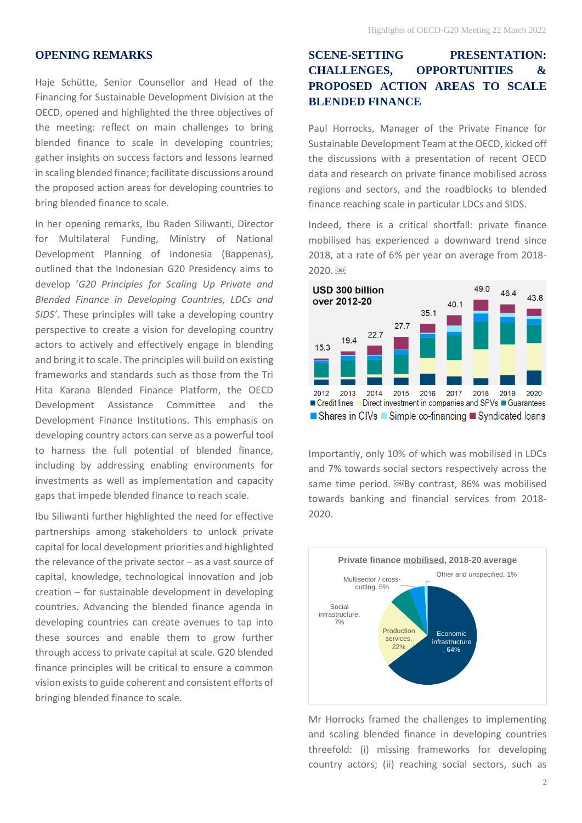#### **OPENING REMARKS**

Haje Schütte, Senior Counsellor and Head of the Financing for Sustainable Development Division at the OECD, opened and highlighted the three objectives of the meeting: reflect on main challenges to bring blended finance to scale in developing countries; gather insights on success factors and lessons learned in scaling blended finance; facilitate discussions around the proposed action areas for developing countries to bring blended finance to scale.

In her opening remarks, Ibu Raden Siliwanti, Director for Multilateral Funding, Ministry of National Development Planning of Indonesia (Bappenas), outlined that the Indonesian G20 Presidency aims to develop '*G20 Principles for Scaling Up Private and Blended Finance in Developing Countries, LDCs and SIDS'*. These principles will take a developing country perspective to create a vision for developing country actors to actively and effectively engage in blending and bring it to scale. The principles will build on existing frameworks and standards such as those from the Tri Hita Karana Blended Finance Platform, the OECD Development Assistance Committee and the Development Finance Institutions. This emphasis on developing country actors can serve as a powerful tool to harness the full potential of blended finance, including by addressing enabling environments for investments as well as implementation and capacity gaps that impede blended finance to reach scale.

Ibu Siliwanti further highlighted the need for effective partnerships among stakeholders to unlock private capital for local development priorities and highlighted the relevance of the private sector – as a vast source of capital, knowledge, technological innovation and job creation – for sustainable development in developing countries. Advancing the blended finance agenda in developing countries can create avenues to tap into these sources and enable them to grow further through access to private capital at scale. G20 blended finance principles will be critical to ensure a common vision exists to guide coherent and consistent efforts of bringing blended finance to scale.

# **SCENE-SETTING PRESENTATION: CHALLENGES, OPPORTUNITIES & PROPOSED ACTION AREAS TO SCALE BLENDED FINANCE**

Paul Horrocks, Manager of the Private Finance for Sustainable Development Team at the OECD, kicked off the discussions with a presentation of recent OECD data and research on private finance mobilised across regions and sectors, and the roadblocks to blended finance reaching scale in particular LDCs and SIDS.

Indeed, there is a critical shortfall: private finance mobilised has experienced a downward trend since 2018, at a rate of 6% per year on average from 2018- 2020. **68** 



Importantly, only 10% of which was mobilised in LDCs and 7% towards social sectors respectively across the same time period. **By contrast**, 86% was mobilised towards banking and financial services from 2018- 2020.



Mr Horrocks framed the challenges to implementing and scaling blended finance in developing countries threefold: (i) missing frameworks for developing country actors; (ii) reaching social sectors, such as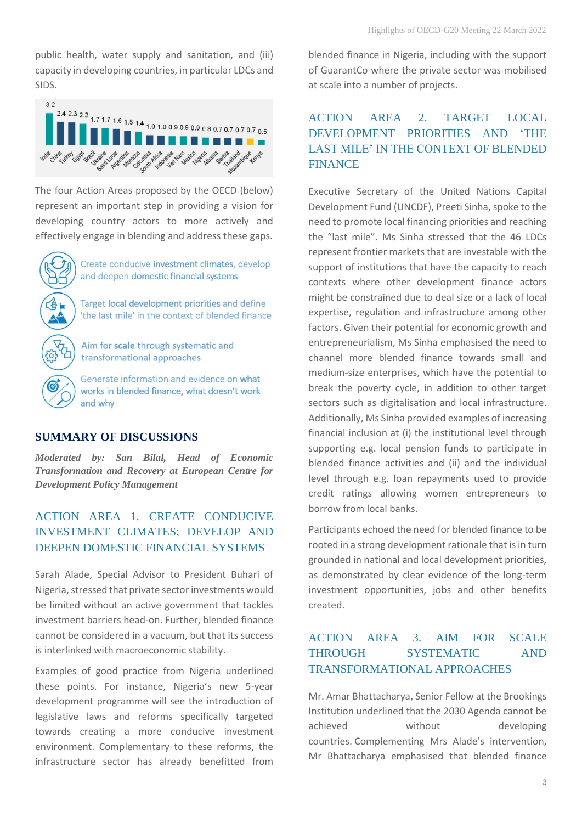public health, water supply and sanitation, and (iii) capacity in developing countries, in particular LDCs and SIDS.



The four Action Areas proposed by the OECD (below) represent an important step in providing a vision for developing country actors to more actively and effectively engage in blending and address these gaps.

Create conducive investment climates, develop and deepen domestic financial systems

Target local development priorities and define 'the last mile' in the context of blended finance

Aim for scale through systematic and transformational approaches

Generate information and evidence on what works in blended finance, what doesn't work and why

### **SUMMARY OF DISCUSSIONS**

*Moderated by: San Bilal, Head of Economic Transformation and Recovery at European Centre for Development Policy Management*

# ACTION AREA 1. CREATE CONDUCIVE INVESTMENT CLIMATES; DEVELOP AND DEEPEN DOMESTIC FINANCIAL SYSTEMS

Sarah Alade, Special Advisor to President Buhari of Nigeria, stressed that private sector investments would be limited without an active government that tackles investment barriers head-on. Further, blended finance cannot be considered in a vacuum, but that its success is interlinked with macroeconomic stability.

Examples of good practice from Nigeria underlined these points. For instance, Nigeria's new 5-year development programme will see the introduction of legislative laws and reforms specifically targeted towards creating a more conducive investment environment. Complementary to these reforms, the infrastructure sector has already benefitted from

blended finance in Nigeria, including with the support of GuarantCo where the private sector was mobilised at scale into a number of projects.

# ACTION AREA 2. TARGET LOCAL DEVELOPMENT PRIORITIES AND 'THE LAST MILE' IN THE CONTEXT OF BLENDED FINANCE

Executive Secretary of the United Nations Capital Development Fund (UNCDF), Preeti Sinha, spoke to the need to promote local financing priorities and reaching the "last mile". Ms Sinha stressed that the 46 LDCs represent frontier markets that are investable with the support of institutions that have the capacity to reach contexts where other development finance actors might be constrained due to deal size or a lack of local expertise, regulation and infrastructure among other factors. Given their potential for economic growth and entrepreneurialism, Ms Sinha emphasised the need to channel more blended finance towards small and medium-size enterprises, which have the potential to break the poverty cycle, in addition to other target sectors such as digitalisation and local infrastructure. Additionally, Ms Sinha provided examples of increasing financial inclusion at (i) the institutional level through supporting e.g. local pension funds to participate in blended finance activities and (ii) and the individual level through e.g. loan repayments used to provide credit ratings allowing women entrepreneurs to borrow from local banks.

Participants echoed the need for blended finance to be rooted in a strong development rationale that is in turn grounded in national and local development priorities, as demonstrated by clear evidence of the long-term investment opportunities, jobs and other benefits created.

# ACTION AREA 3. AIM FOR SCALE THROUGH SYSTEMATIC AND TRANSFORMATIONAL APPROACHES

Mr. Amar Bhattacharya, Senior Fellow at the Brookings Institution underlined that the 2030 Agenda cannot be achieved without developing countries. Complementing Mrs Alade's intervention, Mr Bhattacharya emphasised that blended finance